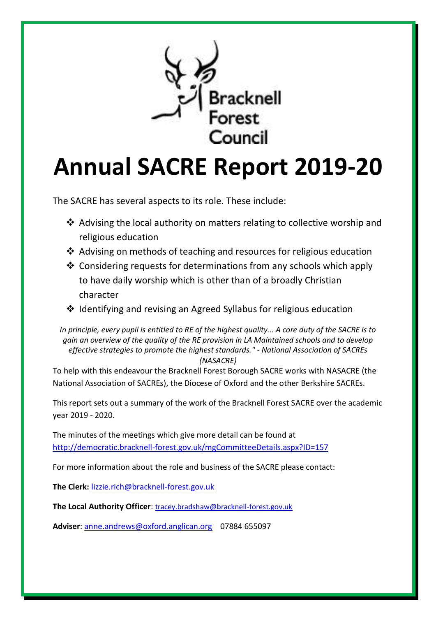

# **Annual SACRE Report 2019-20**

The SACRE has several aspects to its role. These include:

- ❖ Advising the local authority on matters relating to collective worship and religious education
- ❖ Advising on methods of teaching and resources for religious education
- ❖ Considering requests for determinations from any schools which apply to have daily worship which is other than of a broadly Christian character
- ❖ Identifying and revising an Agreed Syllabus for religious education

*In principle, every pupil is entitled to RE of the highest quality... A core duty of the SACRE is to gain an overview of the quality of the RE provision in LA Maintained schools and to develop effective strategies to promote the highest standards." - National Association of SACREs (NASACRE)*

To help with this endeavour the Bracknell Forest Borough SACRE works with NASACRE (the National Association of SACREs), the Diocese of Oxford and the other Berkshire SACREs.

This report sets out a summary of the work of the Bracknell Forest SACRE over the academic year 2019 - 2020.

The minutes of the meetings which give more detail can be found at <http://democratic.bracknell-forest.gov.uk/mgCommitteeDetails.aspx?ID=157>

For more information about the role and business of the SACRE please contact:

**The Clerk:** [lizzie.rich@bracknell-forest.gov.uk](mailto:lizzie.rich@bracknell-forest.gov.uk)

**The Local Authority Officer**: [tracey.bradshaw@bracknell-forest.gov.uk](mailto:tracey.bradshaw@bracknell-forest.gov.uk)

**Adviser**: [anne.andrews@oxford.anglican.org](mailto:anne.andrews@oxford.anglican.org) 07884 655097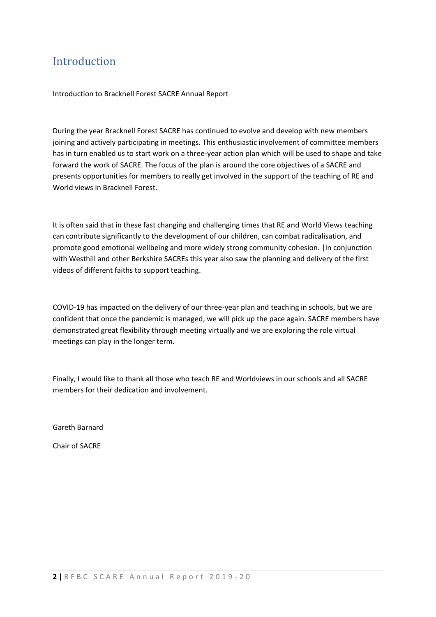## Introduction

Introduction to Bracknell Forest SACRE Annual Report

During the year Bracknell Forest SACRE has continued to evolve and develop with new members joining and actively participating in meetings. This enthusiastic involvement of committee members has in turn enabled us to start work on a three-year action plan which will be used to shape and take forward the work of SACRE. The focus of the plan is around the core objectives of a SACRE and presents opportunities for members to really get involved in the support of the teaching of RE and World views in Bracknell Forest.

It is often said that in these fast changing and challenging times that RE and World Views teaching can contribute significantly to the development of our children, can combat radicalisation, and promote good emotional wellbeing and more widely strong community cohesion. |In conjunction with Westhill and other Berkshire SACREs this year also saw the planning and delivery of the first videos of different faiths to support teaching.

COVID-19 has impacted on the delivery of our three-year plan and teaching in schools, but we are confident that once the pandemic is managed, we will pick up the pace again. SACRE members have demonstrated great flexibility through meeting virtually and we are exploring the role virtual meetings can play in the longer term.

Finally, I would like to thank all those who teach RE and Worldviews in our schools and all SACRE members for their dedication and involvement.

Gareth Barnard

Chair of SACRE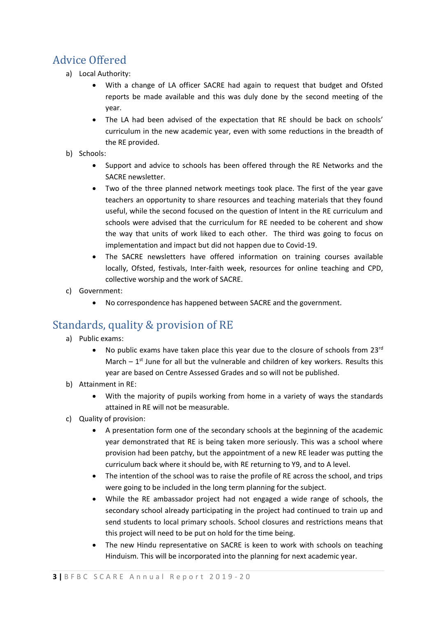## Advice Offered

- a) Local Authority:
	- With a change of LA officer SACRE had again to request that budget and Ofsted reports be made available and this was duly done by the second meeting of the year.
	- The LA had been advised of the expectation that RE should be back on schools' curriculum in the new academic year, even with some reductions in the breadth of the RE provided.
- b) Schools:
	- Support and advice to schools has been offered through the RE Networks and the SACRE newsletter.
	- Two of the three planned network meetings took place. The first of the year gave teachers an opportunity to share resources and teaching materials that they found useful, while the second focused on the question of Intent in the RE curriculum and schools were advised that the curriculum for RE needed to be coherent and show the way that units of work liked to each other. The third was going to focus on implementation and impact but did not happen due to Covid-19.
	- The SACRE newsletters have offered information on training courses available locally, Ofsted, festivals, Inter-faith week, resources for online teaching and CPD, collective worship and the work of SACRE.
- c) Government:
	- No correspondence has happened between SACRE and the government.

## Standards, quality & provision of RE

- a) Public exams:
	- No public exams have taken place this year due to the closure of schools from 23 $^{rd}$ March  $-1$ <sup>st</sup> June for all but the vulnerable and children of key workers. Results this year are based on Centre Assessed Grades and so will not be published.
- b) Attainment in RE:
	- With the majority of pupils working from home in a variety of ways the standards attained in RE will not be measurable.
- c) Quality of provision:
	- A presentation form one of the secondary schools at the beginning of the academic year demonstrated that RE is being taken more seriously. This was a school where provision had been patchy, but the appointment of a new RE leader was putting the curriculum back where it should be, with RE returning to Y9, and to A level.
	- The intention of the school was to raise the profile of RE across the school, and trips were going to be included in the long term planning for the subject.
	- While the RE ambassador project had not engaged a wide range of schools, the secondary school already participating in the project had continued to train up and send students to local primary schools. School closures and restrictions means that this project will need to be put on hold for the time being.
	- The new Hindu representative on SACRE is keen to work with schools on teaching Hinduism. This will be incorporated into the planning for next academic year.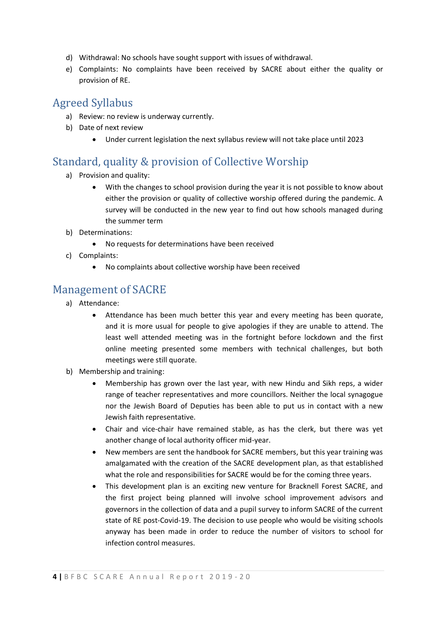- d) Withdrawal: No schools have sought support with issues of withdrawal.
- e) Complaints: No complaints have been received by SACRE about either the quality or provision of RE.

#### Agreed Syllabus

- a) Review: no review is underway currently.
- b) Date of next review
	- Under current legislation the next syllabus review will not take place until 2023

## Standard, quality & provision of Collective Worship

- a) Provision and quality:
	- With the changes to school provision during the year it is not possible to know about either the provision or quality of collective worship offered during the pandemic. A survey will be conducted in the new year to find out how schools managed during the summer term
- b) Determinations:
	- No requests for determinations have been received
- c) Complaints:
	- No complaints about collective worship have been received

#### Management of SACRE

- a) Attendance:
	- Attendance has been much better this year and every meeting has been quorate, and it is more usual for people to give apologies if they are unable to attend. The least well attended meeting was in the fortnight before lockdown and the first online meeting presented some members with technical challenges, but both meetings were still quorate.
- b) Membership and training:
	- Membership has grown over the last year, with new Hindu and Sikh reps, a wider range of teacher representatives and more councillors. Neither the local synagogue nor the Jewish Board of Deputies has been able to put us in contact with a new Jewish faith representative.
	- Chair and vice-chair have remained stable, as has the clerk, but there was yet another change of local authority officer mid-year.
	- New members are sent the handbook for SACRE members, but this year training was amalgamated with the creation of the SACRE development plan, as that established what the role and responsibilities for SACRE would be for the coming three years.
	- This development plan is an exciting new venture for Bracknell Forest SACRE, and the first project being planned will involve school improvement advisors and governors in the collection of data and a pupil survey to inform SACRE of the current state of RE post-Covid-19. The decision to use people who would be visiting schools anyway has been made in order to reduce the number of visitors to school for infection control measures.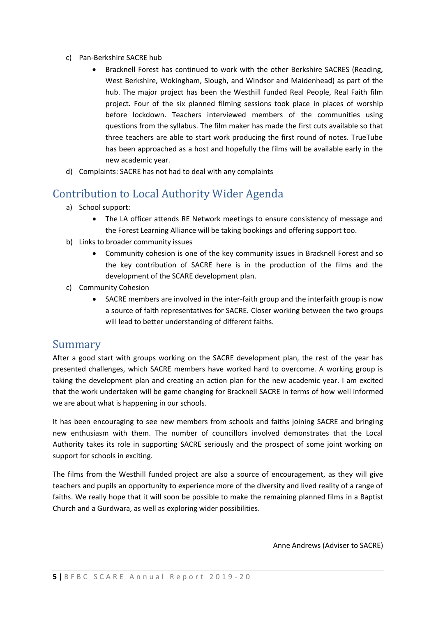- c) Pan-Berkshire SACRE hub
	- Bracknell Forest has continued to work with the other Berkshire SACRES (Reading, West Berkshire, Wokingham, Slough, and Windsor and Maidenhead) as part of the hub. The major project has been the Westhill funded Real People, Real Faith film project. Four of the six planned filming sessions took place in places of worship before lockdown. Teachers interviewed members of the communities using questions from the syllabus. The film maker has made the first cuts available so that three teachers are able to start work producing the first round of notes. TrueTube has been approached as a host and hopefully the films will be available early in the new academic year.
- d) Complaints: SACRE has not had to deal with any complaints

### Contribution to Local Authority Wider Agenda

- a) School support:
	- The LA officer attends RE Network meetings to ensure consistency of message and the Forest Learning Alliance will be taking bookings and offering support too.
- b) Links to broader community issues
	- Community cohesion is one of the key community issues in Bracknell Forest and so the key contribution of SACRE here is in the production of the films and the development of the SCARE development plan.
- c) Community Cohesion
	- SACRE members are involved in the inter-faith group and the interfaith group is now a source of faith representatives for SACRE. Closer working between the two groups will lead to better understanding of different faiths.

#### Summary

After a good start with groups working on the SACRE development plan, the rest of the year has presented challenges, which SACRE members have worked hard to overcome. A working group is taking the development plan and creating an action plan for the new academic year. I am excited that the work undertaken will be game changing for Bracknell SACRE in terms of how well informed we are about what is happening in our schools.

It has been encouraging to see new members from schools and faiths joining SACRE and bringing new enthusiasm with them. The number of councillors involved demonstrates that the Local Authority takes its role in supporting SACRE seriously and the prospect of some joint working on support for schools in exciting.

The films from the Westhill funded project are also a source of encouragement, as they will give teachers and pupils an opportunity to experience more of the diversity and lived reality of a range of faiths. We really hope that it will soon be possible to make the remaining planned films in a Baptist Church and a Gurdwara, as well as exploring wider possibilities.

Anne Andrews (Adviser to SACRE)